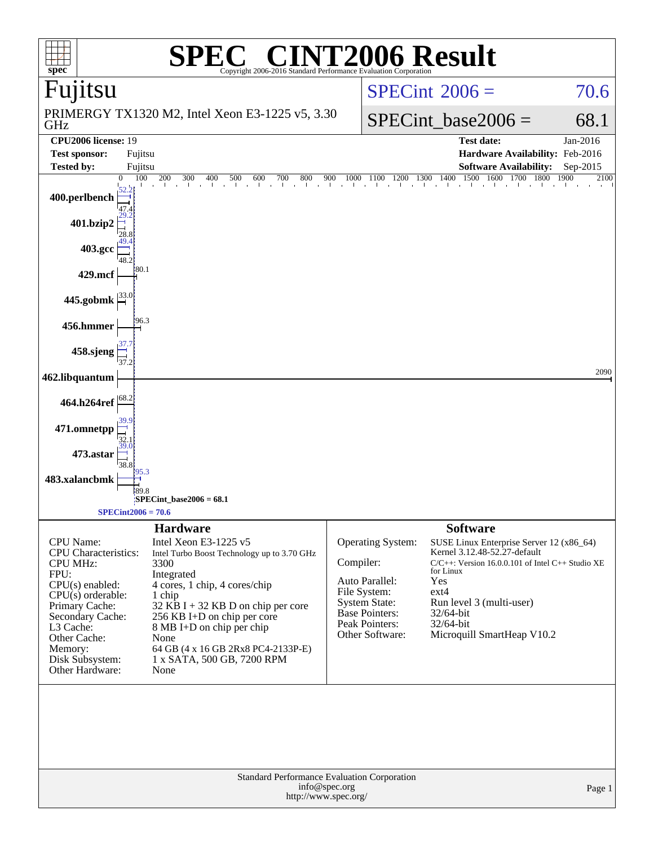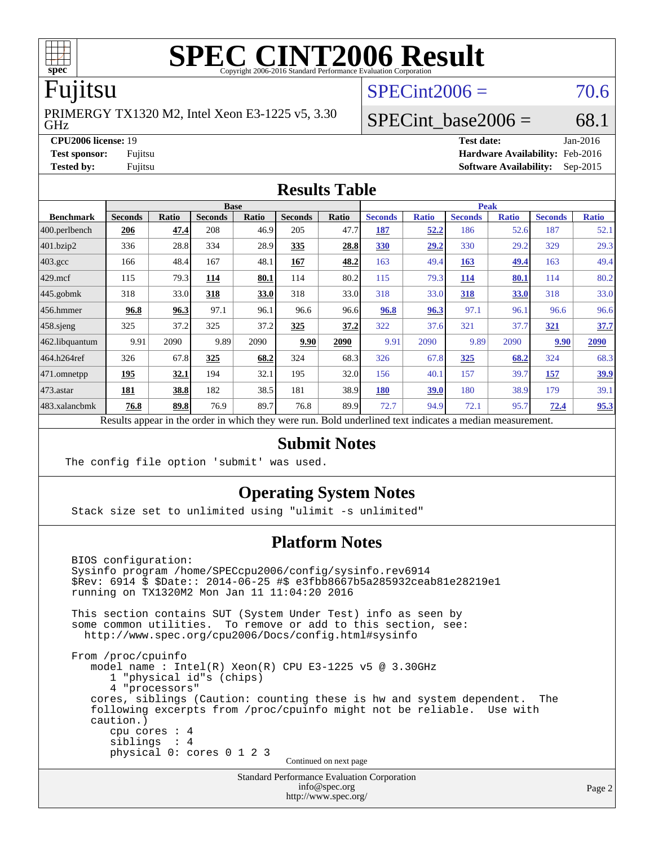

## Fujitsu

GHz PRIMERGY TX1320 M2, Intel Xeon E3-1225 v5, 3.30  $SPECint2006 = 70.6$  $SPECint2006 = 70.6$ 

# SPECint base2006 =  $68.1$

**[CPU2006 license:](http://www.spec.org/auto/cpu2006/Docs/result-fields.html#CPU2006license)** 19 **[Test date:](http://www.spec.org/auto/cpu2006/Docs/result-fields.html#Testdate)** Jan-2016 **[Test sponsor:](http://www.spec.org/auto/cpu2006/Docs/result-fields.html#Testsponsor)** Fujitsu **[Hardware Availability:](http://www.spec.org/auto/cpu2006/Docs/result-fields.html#HardwareAvailability)** Feb-2016 **[Tested by:](http://www.spec.org/auto/cpu2006/Docs/result-fields.html#Testedby)** Fujitsu **[Software Availability:](http://www.spec.org/auto/cpu2006/Docs/result-fields.html#SoftwareAvailability)** Sep-2015

#### **[Results Table](http://www.spec.org/auto/cpu2006/Docs/result-fields.html#ResultsTable)**

|                                                                                                          | <b>Base</b>    |       |                |       |                |       | <b>Peak</b>    |              |                |              |                |              |
|----------------------------------------------------------------------------------------------------------|----------------|-------|----------------|-------|----------------|-------|----------------|--------------|----------------|--------------|----------------|--------------|
| <b>Benchmark</b>                                                                                         | <b>Seconds</b> | Ratio | <b>Seconds</b> | Ratio | <b>Seconds</b> | Ratio | <b>Seconds</b> | <b>Ratio</b> | <b>Seconds</b> | <b>Ratio</b> | <b>Seconds</b> | <b>Ratio</b> |
| $ 400$ .perlbench                                                                                        | 206            | 47.4  | 208            | 46.9  | 205            | 47.7  | 187            | 52.2         | 186            | 52.6         | 187            | 52.1         |
| 401.bzip2                                                                                                | 336            | 28.8  | 334            | 28.9  | 335            | 28.8  | <b>330</b>     | 29.2         | 330            | 29.2         | 329            | 29.3         |
| $403.\text{gcc}$                                                                                         | 166            | 48.4  | 167            | 48.1  | 167            | 48.2  | 163            | 49.4         | 163            | 49.4         | 163            | 49.4         |
| $429$ .mcf                                                                                               | 115            | 79.3  | 114            | 80.1  | 114            | 80.2  | 115            | 79.3         | 114            | 80.1         | 114            | 80.2         |
| $445$ .gobmk                                                                                             | 318            | 33.0  | 318            | 33.0  | 318            | 33.0  | 318            | 33.0         | 318            | 33.0         | 318            | 33.0         |
| $456.$ hmmer                                                                                             | 96.8           | 96.3  | 97.1           | 96.1  | 96.6           | 96.6  | 96.8           | 96.3         | 97.1           | 96.1         | 96.6           | 96.6         |
| $458$ .sjeng                                                                                             | 325            | 37.2  | 325            | 37.2  | 325            | 37.2  | 322            | 37.6         | 321            | 37.7         | 321            | 37.7         |
| 462.libquantum                                                                                           | 9.91           | 2090  | 9.89           | 2090  | 9.90           | 2090  | 9.91           | 2090         | 9.89           | 2090         | 9.90           | 2090         |
| 464.h264ref                                                                                              | 326            | 67.8  | 325            | 68.2  | 324            | 68.3  | 326            | 67.8         | 325            | 68.2         | 324            | 68.3         |
| $471$ .omnetpp                                                                                           | 195            | 32.1  | 194            | 32.1  | 195            | 32.0  | 156            | 40.1         | 157            | 39.7         | 157            | <u>39.9</u>  |
| $473$ . astar                                                                                            | 181            | 38.8  | 182            | 38.5  | 181            | 38.9  | 180            | 39.0         | 180            | 38.9         | 179            | 39.1         |
| 483.xalancbmk                                                                                            | 76.8           | 89.8  | 76.9           | 89.7  | 76.8           | 89.9  | 72.7           | 94.9         | 72.1           | 95.7         | 72.4           | 95.3         |
| Results appear in the order in which they were run. Bold underlined text indicates a median measurement. |                |       |                |       |                |       |                |              |                |              |                |              |

#### **[Submit Notes](http://www.spec.org/auto/cpu2006/Docs/result-fields.html#SubmitNotes)**

The config file option 'submit' was used.

#### **[Operating System Notes](http://www.spec.org/auto/cpu2006/Docs/result-fields.html#OperatingSystemNotes)**

Stack size set to unlimited using "ulimit -s unlimited"

#### **[Platform Notes](http://www.spec.org/auto/cpu2006/Docs/result-fields.html#PlatformNotes)**

 BIOS configuration: Sysinfo program /home/SPECcpu2006/config/sysinfo.rev6914 \$Rev: 6914 \$ \$Date:: 2014-06-25 #\$ e3fbb8667b5a285932ceab81e28219e1 running on TX1320M2 Mon Jan 11 11:04:20 2016 This section contains SUT (System Under Test) info as seen by some common utilities. To remove or add to this section, see: <http://www.spec.org/cpu2006/Docs/config.html#sysinfo> From /proc/cpuinfo model name : Intel(R) Xeon(R) CPU E3-1225 v5 @ 3.30GHz 1 "physical id"s (chips) 4 "processors" cores, siblings (Caution: counting these is hw and system dependent. The following excerpts from /proc/cpuinfo might not be reliable. Use with caution.) cpu cores : 4 siblings : 4 physical 0: cores 0 1 2 3 Continued on next page

> Standard Performance Evaluation Corporation [info@spec.org](mailto:info@spec.org) <http://www.spec.org/>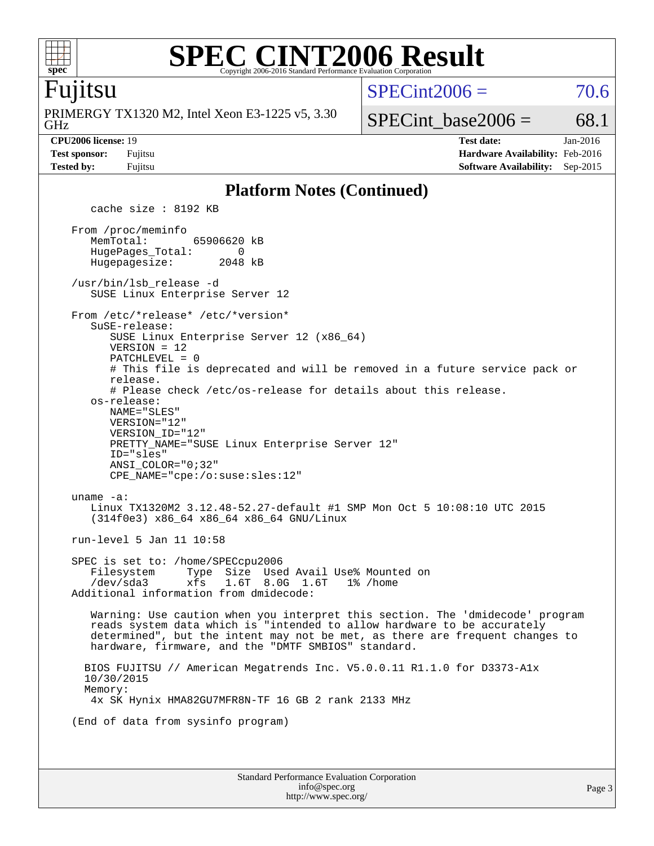

#### **[SPEC CINT2006 Result](http://www.spec.org/auto/cpu2006/Docs/result-fields.html#SPECCINT2006Result)** Copyright 2006-2016 Standard Performance Evaluation Corporation

### Fujitsu

GHz PRIMERGY TX1320 M2, Intel Xeon E3-1225 v5, 3.30  $SPECint2006 = 70.6$  $SPECint2006 = 70.6$ 

# SPECint base2006 =  $68.1$

**[CPU2006 license:](http://www.spec.org/auto/cpu2006/Docs/result-fields.html#CPU2006license)** 19 **[Test date:](http://www.spec.org/auto/cpu2006/Docs/result-fields.html#Testdate)** Jan-2016 **[Test sponsor:](http://www.spec.org/auto/cpu2006/Docs/result-fields.html#Testsponsor)** Fujitsu **[Hardware Availability:](http://www.spec.org/auto/cpu2006/Docs/result-fields.html#HardwareAvailability)** Feb-2016 **[Tested by:](http://www.spec.org/auto/cpu2006/Docs/result-fields.html#Testedby)** Fujitsu **[Software Availability:](http://www.spec.org/auto/cpu2006/Docs/result-fields.html#SoftwareAvailability)** Sep-2015

#### **[Platform Notes \(Continued\)](http://www.spec.org/auto/cpu2006/Docs/result-fields.html#PlatformNotes)**

Standard Performance Evaluation Corporation [info@spec.org](mailto:info@spec.org) cache size : 8192 KB From /proc/meminfo MemTotal: 65906620 kB HugePages\_Total: 0<br>Hugepagesize: 2048 kB Hugepagesize: /usr/bin/lsb\_release -d SUSE Linux Enterprise Server 12 From /etc/\*release\* /etc/\*version\* SuSE-release: SUSE Linux Enterprise Server 12 (x86\_64) VERSION = 12 PATCHLEVEL = 0 # This file is deprecated and will be removed in a future service pack or release. # Please check /etc/os-release for details about this release. os-release: NAME="SLES" VERSION="12" VERSION\_ID="12" PRETTY\_NAME="SUSE Linux Enterprise Server 12" ID="sles" ANSI\_COLOR="0;32" CPE\_NAME="cpe:/o:suse:sles:12" uname -a: Linux TX1320M2 3.12.48-52.27-default #1 SMP Mon Oct 5 10:08:10 UTC 2015 (314f0e3) x86\_64 x86\_64 x86\_64 GNU/Linux run-level 5 Jan 11 10:58 SPEC is set to: /home/SPECcpu2006 Filesystem Type Size Used Avail Use% Mounted on /dev/sda3 xfs 1.6T 8.0G 1.6T 1% /home Additional information from dmidecode: Warning: Use caution when you interpret this section. The 'dmidecode' program reads system data which is "intended to allow hardware to be accurately determined", but the intent may not be met, as there are frequent changes to hardware, firmware, and the "DMTF SMBIOS" standard. BIOS FUJITSU // American Megatrends Inc. V5.0.0.11 R1.1.0 for D3373-A1x 10/30/2015 Memory: 4x SK Hynix HMA82GU7MFR8N-TF 16 GB 2 rank 2133 MHz (End of data from sysinfo program)

<http://www.spec.org/>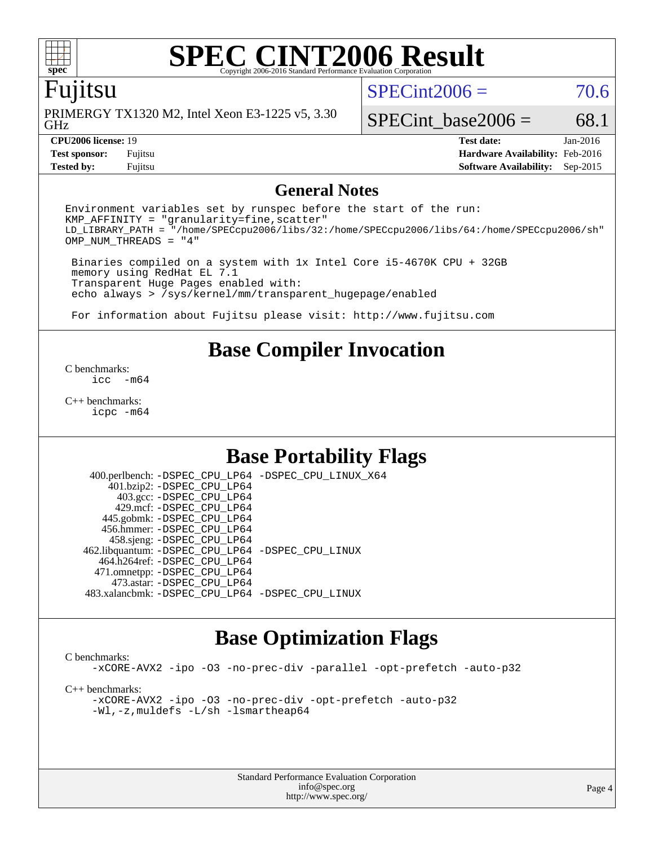

### Fujitsu

GHz PRIMERGY TX1320 M2, Intel Xeon E3-1225 v5, 3.30  $SPECint2006 = 70.6$  $SPECint2006 = 70.6$ 

SPECint base2006 =  $68.1$ 

**[Tested by:](http://www.spec.org/auto/cpu2006/Docs/result-fields.html#Testedby)** Fujitsu **[Software Availability:](http://www.spec.org/auto/cpu2006/Docs/result-fields.html#SoftwareAvailability)** Sep-2015

**[CPU2006 license:](http://www.spec.org/auto/cpu2006/Docs/result-fields.html#CPU2006license)** 19 **[Test date:](http://www.spec.org/auto/cpu2006/Docs/result-fields.html#Testdate)** Jan-2016 **[Test sponsor:](http://www.spec.org/auto/cpu2006/Docs/result-fields.html#Testsponsor)** Fujitsu **[Hardware Availability:](http://www.spec.org/auto/cpu2006/Docs/result-fields.html#HardwareAvailability)** Feb-2016

#### **[General Notes](http://www.spec.org/auto/cpu2006/Docs/result-fields.html#GeneralNotes)**

Environment variables set by runspec before the start of the run:  $KMP$  AFFINITY = "granularity=fine, scatter" LD\_LIBRARY\_PATH = "/home/SPECcpu2006/libs/32:/home/SPECcpu2006/libs/64:/home/SPECcpu2006/sh" OMP\_NUM\_THREADS = "4"

 Binaries compiled on a system with 1x Intel Core i5-4670K CPU + 32GB memory using RedHat EL 7.1 Transparent Huge Pages enabled with: echo always > /sys/kernel/mm/transparent\_hugepage/enabled

For information about Fujitsu please visit: <http://www.fujitsu.com>

# **[Base Compiler Invocation](http://www.spec.org/auto/cpu2006/Docs/result-fields.html#BaseCompilerInvocation)**

[C benchmarks](http://www.spec.org/auto/cpu2006/Docs/result-fields.html#Cbenchmarks):  $inc - m64$ 

[C++ benchmarks:](http://www.spec.org/auto/cpu2006/Docs/result-fields.html#CXXbenchmarks) [icpc -m64](http://www.spec.org/cpu2006/results/res2016q1/cpu2006-20160125-38909.flags.html#user_CXXbase_intel_icpc_64bit_fc66a5337ce925472a5c54ad6a0de310)

# **[Base Portability Flags](http://www.spec.org/auto/cpu2006/Docs/result-fields.html#BasePortabilityFlags)**

 400.perlbench: [-DSPEC\\_CPU\\_LP64](http://www.spec.org/cpu2006/results/res2016q1/cpu2006-20160125-38909.flags.html#b400.perlbench_basePORTABILITY_DSPEC_CPU_LP64) [-DSPEC\\_CPU\\_LINUX\\_X64](http://www.spec.org/cpu2006/results/res2016q1/cpu2006-20160125-38909.flags.html#b400.perlbench_baseCPORTABILITY_DSPEC_CPU_LINUX_X64) 401.bzip2: [-DSPEC\\_CPU\\_LP64](http://www.spec.org/cpu2006/results/res2016q1/cpu2006-20160125-38909.flags.html#suite_basePORTABILITY401_bzip2_DSPEC_CPU_LP64) 403.gcc: [-DSPEC\\_CPU\\_LP64](http://www.spec.org/cpu2006/results/res2016q1/cpu2006-20160125-38909.flags.html#suite_basePORTABILITY403_gcc_DSPEC_CPU_LP64) 429.mcf: [-DSPEC\\_CPU\\_LP64](http://www.spec.org/cpu2006/results/res2016q1/cpu2006-20160125-38909.flags.html#suite_basePORTABILITY429_mcf_DSPEC_CPU_LP64) 445.gobmk: [-DSPEC\\_CPU\\_LP64](http://www.spec.org/cpu2006/results/res2016q1/cpu2006-20160125-38909.flags.html#suite_basePORTABILITY445_gobmk_DSPEC_CPU_LP64) 456.hmmer: [-DSPEC\\_CPU\\_LP64](http://www.spec.org/cpu2006/results/res2016q1/cpu2006-20160125-38909.flags.html#suite_basePORTABILITY456_hmmer_DSPEC_CPU_LP64) 458.sjeng: [-DSPEC\\_CPU\\_LP64](http://www.spec.org/cpu2006/results/res2016q1/cpu2006-20160125-38909.flags.html#suite_basePORTABILITY458_sjeng_DSPEC_CPU_LP64) 462.libquantum: [-DSPEC\\_CPU\\_LP64](http://www.spec.org/cpu2006/results/res2016q1/cpu2006-20160125-38909.flags.html#suite_basePORTABILITY462_libquantum_DSPEC_CPU_LP64) [-DSPEC\\_CPU\\_LINUX](http://www.spec.org/cpu2006/results/res2016q1/cpu2006-20160125-38909.flags.html#b462.libquantum_baseCPORTABILITY_DSPEC_CPU_LINUX) 464.h264ref: [-DSPEC\\_CPU\\_LP64](http://www.spec.org/cpu2006/results/res2016q1/cpu2006-20160125-38909.flags.html#suite_basePORTABILITY464_h264ref_DSPEC_CPU_LP64) 471.omnetpp: [-DSPEC\\_CPU\\_LP64](http://www.spec.org/cpu2006/results/res2016q1/cpu2006-20160125-38909.flags.html#suite_basePORTABILITY471_omnetpp_DSPEC_CPU_LP64) 473.astar: [-DSPEC\\_CPU\\_LP64](http://www.spec.org/cpu2006/results/res2016q1/cpu2006-20160125-38909.flags.html#suite_basePORTABILITY473_astar_DSPEC_CPU_LP64) 483.xalancbmk: [-DSPEC\\_CPU\\_LP64](http://www.spec.org/cpu2006/results/res2016q1/cpu2006-20160125-38909.flags.html#suite_basePORTABILITY483_xalancbmk_DSPEC_CPU_LP64) [-DSPEC\\_CPU\\_LINUX](http://www.spec.org/cpu2006/results/res2016q1/cpu2006-20160125-38909.flags.html#b483.xalancbmk_baseCXXPORTABILITY_DSPEC_CPU_LINUX)

### **[Base Optimization Flags](http://www.spec.org/auto/cpu2006/Docs/result-fields.html#BaseOptimizationFlags)**

[C benchmarks](http://www.spec.org/auto/cpu2006/Docs/result-fields.html#Cbenchmarks): [-xCORE-AVX2](http://www.spec.org/cpu2006/results/res2016q1/cpu2006-20160125-38909.flags.html#user_CCbase_f-xAVX2_5f5fc0cbe2c9f62c816d3e45806c70d7) [-ipo](http://www.spec.org/cpu2006/results/res2016q1/cpu2006-20160125-38909.flags.html#user_CCbase_f-ipo) [-O3](http://www.spec.org/cpu2006/results/res2016q1/cpu2006-20160125-38909.flags.html#user_CCbase_f-O3) [-no-prec-div](http://www.spec.org/cpu2006/results/res2016q1/cpu2006-20160125-38909.flags.html#user_CCbase_f-no-prec-div) [-parallel](http://www.spec.org/cpu2006/results/res2016q1/cpu2006-20160125-38909.flags.html#user_CCbase_f-parallel) [-opt-prefetch](http://www.spec.org/cpu2006/results/res2016q1/cpu2006-20160125-38909.flags.html#user_CCbase_f-opt-prefetch) [-auto-p32](http://www.spec.org/cpu2006/results/res2016q1/cpu2006-20160125-38909.flags.html#user_CCbase_f-auto-p32) [C++ benchmarks:](http://www.spec.org/auto/cpu2006/Docs/result-fields.html#CXXbenchmarks) [-xCORE-AVX2](http://www.spec.org/cpu2006/results/res2016q1/cpu2006-20160125-38909.flags.html#user_CXXbase_f-xAVX2_5f5fc0cbe2c9f62c816d3e45806c70d7) [-ipo](http://www.spec.org/cpu2006/results/res2016q1/cpu2006-20160125-38909.flags.html#user_CXXbase_f-ipo) [-O3](http://www.spec.org/cpu2006/results/res2016q1/cpu2006-20160125-38909.flags.html#user_CXXbase_f-O3) [-no-prec-div](http://www.spec.org/cpu2006/results/res2016q1/cpu2006-20160125-38909.flags.html#user_CXXbase_f-no-prec-div) [-opt-prefetch](http://www.spec.org/cpu2006/results/res2016q1/cpu2006-20160125-38909.flags.html#user_CXXbase_f-opt-prefetch) [-auto-p32](http://www.spec.org/cpu2006/results/res2016q1/cpu2006-20160125-38909.flags.html#user_CXXbase_f-auto-p32) [-Wl,-z,muldefs](http://www.spec.org/cpu2006/results/res2016q1/cpu2006-20160125-38909.flags.html#user_CXXbase_link_force_multiple1_74079c344b956b9658436fd1b6dd3a8a) [-L/sh -lsmartheap64](http://www.spec.org/cpu2006/results/res2016q1/cpu2006-20160125-38909.flags.html#user_CXXbase_SmartHeap64_ed4ef857ce90951921efb0d91eb88472)

> Standard Performance Evaluation Corporation [info@spec.org](mailto:info@spec.org) <http://www.spec.org/>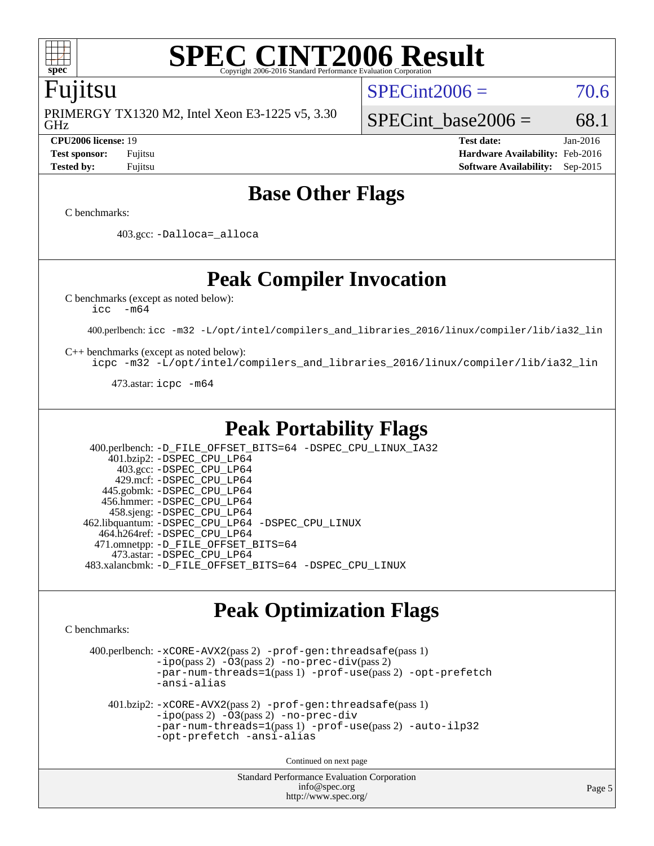

### Fujitsu

GHz PRIMERGY TX1320 M2, Intel Xeon E3-1225 v5, 3.30  $SPECint2006 = 70.6$  $SPECint2006 = 70.6$ 

SPECint base2006 =  $68.1$ **[CPU2006 license:](http://www.spec.org/auto/cpu2006/Docs/result-fields.html#CPU2006license)** 19 **[Test date:](http://www.spec.org/auto/cpu2006/Docs/result-fields.html#Testdate)** Jan-2016

**[Test sponsor:](http://www.spec.org/auto/cpu2006/Docs/result-fields.html#Testsponsor)** Fujitsu **[Hardware Availability:](http://www.spec.org/auto/cpu2006/Docs/result-fields.html#HardwareAvailability)** Feb-2016 **[Tested by:](http://www.spec.org/auto/cpu2006/Docs/result-fields.html#Testedby)** Fujitsu **[Software Availability:](http://www.spec.org/auto/cpu2006/Docs/result-fields.html#SoftwareAvailability)** Sep-2015

# **[Base Other Flags](http://www.spec.org/auto/cpu2006/Docs/result-fields.html#BaseOtherFlags)**

[C benchmarks](http://www.spec.org/auto/cpu2006/Docs/result-fields.html#Cbenchmarks):

403.gcc: [-Dalloca=\\_alloca](http://www.spec.org/cpu2006/results/res2016q1/cpu2006-20160125-38909.flags.html#b403.gcc_baseEXTRA_CFLAGS_Dalloca_be3056838c12de2578596ca5467af7f3)

# **[Peak Compiler Invocation](http://www.spec.org/auto/cpu2006/Docs/result-fields.html#PeakCompilerInvocation)**

[C benchmarks \(except as noted below\)](http://www.spec.org/auto/cpu2006/Docs/result-fields.html#Cbenchmarksexceptasnotedbelow):

[icc -m64](http://www.spec.org/cpu2006/results/res2016q1/cpu2006-20160125-38909.flags.html#user_CCpeak_intel_icc_64bit_f346026e86af2a669e726fe758c88044)

400.perlbench: [icc -m32 -L/opt/intel/compilers\\_and\\_libraries\\_2016/linux/compiler/lib/ia32\\_lin](http://www.spec.org/cpu2006/results/res2016q1/cpu2006-20160125-38909.flags.html#user_peakCCLD400_perlbench_intel_icc_e10256ba5924b668798078a321b0cb3f)

[C++ benchmarks \(except as noted below\):](http://www.spec.org/auto/cpu2006/Docs/result-fields.html#CXXbenchmarksexceptasnotedbelow)

[icpc -m32 -L/opt/intel/compilers\\_and\\_libraries\\_2016/linux/compiler/lib/ia32\\_lin](http://www.spec.org/cpu2006/results/res2016q1/cpu2006-20160125-38909.flags.html#user_CXXpeak_intel_icpc_b4f50a394bdb4597aa5879c16bc3f5c5)

473.astar: [icpc -m64](http://www.spec.org/cpu2006/results/res2016q1/cpu2006-20160125-38909.flags.html#user_peakCXXLD473_astar_intel_icpc_64bit_fc66a5337ce925472a5c54ad6a0de310)

# **[Peak Portability Flags](http://www.spec.org/auto/cpu2006/Docs/result-fields.html#PeakPortabilityFlags)**

 400.perlbench: [-D\\_FILE\\_OFFSET\\_BITS=64](http://www.spec.org/cpu2006/results/res2016q1/cpu2006-20160125-38909.flags.html#user_peakPORTABILITY400_perlbench_file_offset_bits_64_438cf9856305ebd76870a2c6dc2689ab) [-DSPEC\\_CPU\\_LINUX\\_IA32](http://www.spec.org/cpu2006/results/res2016q1/cpu2006-20160125-38909.flags.html#b400.perlbench_peakCPORTABILITY_DSPEC_CPU_LINUX_IA32) 401.bzip2: [-DSPEC\\_CPU\\_LP64](http://www.spec.org/cpu2006/results/res2016q1/cpu2006-20160125-38909.flags.html#suite_peakPORTABILITY401_bzip2_DSPEC_CPU_LP64) 403.gcc: [-DSPEC\\_CPU\\_LP64](http://www.spec.org/cpu2006/results/res2016q1/cpu2006-20160125-38909.flags.html#suite_peakPORTABILITY403_gcc_DSPEC_CPU_LP64) 429.mcf: [-DSPEC\\_CPU\\_LP64](http://www.spec.org/cpu2006/results/res2016q1/cpu2006-20160125-38909.flags.html#suite_peakPORTABILITY429_mcf_DSPEC_CPU_LP64) 445.gobmk: [-DSPEC\\_CPU\\_LP64](http://www.spec.org/cpu2006/results/res2016q1/cpu2006-20160125-38909.flags.html#suite_peakPORTABILITY445_gobmk_DSPEC_CPU_LP64) 456.hmmer: [-DSPEC\\_CPU\\_LP64](http://www.spec.org/cpu2006/results/res2016q1/cpu2006-20160125-38909.flags.html#suite_peakPORTABILITY456_hmmer_DSPEC_CPU_LP64) 458.sjeng: [-DSPEC\\_CPU\\_LP64](http://www.spec.org/cpu2006/results/res2016q1/cpu2006-20160125-38909.flags.html#suite_peakPORTABILITY458_sjeng_DSPEC_CPU_LP64) 462.libquantum: [-DSPEC\\_CPU\\_LP64](http://www.spec.org/cpu2006/results/res2016q1/cpu2006-20160125-38909.flags.html#suite_peakPORTABILITY462_libquantum_DSPEC_CPU_LP64) [-DSPEC\\_CPU\\_LINUX](http://www.spec.org/cpu2006/results/res2016q1/cpu2006-20160125-38909.flags.html#b462.libquantum_peakCPORTABILITY_DSPEC_CPU_LINUX) 464.h264ref: [-DSPEC\\_CPU\\_LP64](http://www.spec.org/cpu2006/results/res2016q1/cpu2006-20160125-38909.flags.html#suite_peakPORTABILITY464_h264ref_DSPEC_CPU_LP64) 471.omnetpp: [-D\\_FILE\\_OFFSET\\_BITS=64](http://www.spec.org/cpu2006/results/res2016q1/cpu2006-20160125-38909.flags.html#user_peakPORTABILITY471_omnetpp_file_offset_bits_64_438cf9856305ebd76870a2c6dc2689ab) 473.astar: [-DSPEC\\_CPU\\_LP64](http://www.spec.org/cpu2006/results/res2016q1/cpu2006-20160125-38909.flags.html#suite_peakPORTABILITY473_astar_DSPEC_CPU_LP64) 483.xalancbmk: [-D\\_FILE\\_OFFSET\\_BITS=64](http://www.spec.org/cpu2006/results/res2016q1/cpu2006-20160125-38909.flags.html#user_peakPORTABILITY483_xalancbmk_file_offset_bits_64_438cf9856305ebd76870a2c6dc2689ab) [-DSPEC\\_CPU\\_LINUX](http://www.spec.org/cpu2006/results/res2016q1/cpu2006-20160125-38909.flags.html#b483.xalancbmk_peakCXXPORTABILITY_DSPEC_CPU_LINUX)

# **[Peak Optimization Flags](http://www.spec.org/auto/cpu2006/Docs/result-fields.html#PeakOptimizationFlags)**

[C benchmarks](http://www.spec.org/auto/cpu2006/Docs/result-fields.html#Cbenchmarks):

 400.perlbench: [-xCORE-AVX2](http://www.spec.org/cpu2006/results/res2016q1/cpu2006-20160125-38909.flags.html#user_peakPASS2_CFLAGSPASS2_LDCFLAGS400_perlbench_f-xAVX2_5f5fc0cbe2c9f62c816d3e45806c70d7)(pass 2) [-prof-gen:threadsafe](http://www.spec.org/cpu2006/results/res2016q1/cpu2006-20160125-38909.flags.html#user_peakPASS1_CFLAGSPASS1_LDCFLAGS400_perlbench_prof_gen_21a26eb79f378b550acd7bec9fe4467a)(pass 1)  $-i\text{po}(pass 2) -O3(pass 2)$  $-i\text{po}(pass 2) -O3(pass 2)$  $-i\text{po}(pass 2) -O3(pass 2)$  [-no-prec-div](http://www.spec.org/cpu2006/results/res2016q1/cpu2006-20160125-38909.flags.html#user_peakPASS2_CFLAGSPASS2_LDCFLAGS400_perlbench_f-no-prec-div)(pass 2) [-par-num-threads=1](http://www.spec.org/cpu2006/results/res2016q1/cpu2006-20160125-38909.flags.html#user_peakPASS1_CFLAGSPASS1_LDCFLAGS400_perlbench_par_num_threads_786a6ff141b4e9e90432e998842df6c2)(pass 1) [-prof-use](http://www.spec.org/cpu2006/results/res2016q1/cpu2006-20160125-38909.flags.html#user_peakPASS2_CFLAGSPASS2_LDCFLAGS400_perlbench_prof_use_bccf7792157ff70d64e32fe3e1250b55)(pass 2) [-opt-prefetch](http://www.spec.org/cpu2006/results/res2016q1/cpu2006-20160125-38909.flags.html#user_peakCOPTIMIZE400_perlbench_f-opt-prefetch) [-ansi-alias](http://www.spec.org/cpu2006/results/res2016q1/cpu2006-20160125-38909.flags.html#user_peakCOPTIMIZE400_perlbench_f-ansi-alias) 401.bzip2: [-xCORE-AVX2](http://www.spec.org/cpu2006/results/res2016q1/cpu2006-20160125-38909.flags.html#user_peakPASS2_CFLAGSPASS2_LDCFLAGS401_bzip2_f-xAVX2_5f5fc0cbe2c9f62c816d3e45806c70d7)(pass 2) [-prof-gen:threadsafe](http://www.spec.org/cpu2006/results/res2016q1/cpu2006-20160125-38909.flags.html#user_peakPASS1_CFLAGSPASS1_LDCFLAGS401_bzip2_prof_gen_21a26eb79f378b550acd7bec9fe4467a)(pass 1) [-ipo](http://www.spec.org/cpu2006/results/res2016q1/cpu2006-20160125-38909.flags.html#user_peakPASS2_CFLAGSPASS2_LDCFLAGS401_bzip2_f-ipo)(pass 2) [-O3](http://www.spec.org/cpu2006/results/res2016q1/cpu2006-20160125-38909.flags.html#user_peakPASS2_CFLAGSPASS2_LDCFLAGS401_bzip2_f-O3)(pass 2) [-no-prec-div](http://www.spec.org/cpu2006/results/res2016q1/cpu2006-20160125-38909.flags.html#user_peakCOPTIMIZEPASS2_CFLAGSPASS2_LDCFLAGS401_bzip2_f-no-prec-div) [-par-num-threads=1](http://www.spec.org/cpu2006/results/res2016q1/cpu2006-20160125-38909.flags.html#user_peakPASS1_CFLAGSPASS1_LDCFLAGS401_bzip2_par_num_threads_786a6ff141b4e9e90432e998842df6c2)(pass 1) [-prof-use](http://www.spec.org/cpu2006/results/res2016q1/cpu2006-20160125-38909.flags.html#user_peakPASS2_CFLAGSPASS2_LDCFLAGS401_bzip2_prof_use_bccf7792157ff70d64e32fe3e1250b55)(pass 2) [-auto-ilp32](http://www.spec.org/cpu2006/results/res2016q1/cpu2006-20160125-38909.flags.html#user_peakCOPTIMIZE401_bzip2_f-auto-ilp32) [-opt-prefetch](http://www.spec.org/cpu2006/results/res2016q1/cpu2006-20160125-38909.flags.html#user_peakCOPTIMIZE401_bzip2_f-opt-prefetch) [-ansi-alias](http://www.spec.org/cpu2006/results/res2016q1/cpu2006-20160125-38909.flags.html#user_peakCOPTIMIZE401_bzip2_f-ansi-alias)

Continued on next page

Standard Performance Evaluation Corporation [info@spec.org](mailto:info@spec.org) <http://www.spec.org/>

Page 5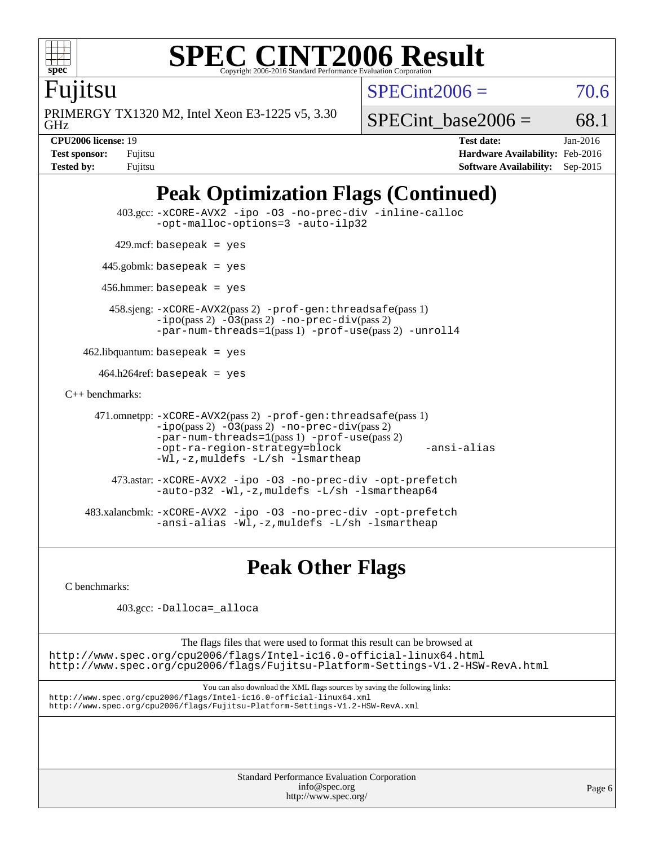

Fujitsu

GHz PRIMERGY TX1320 M2, Intel Xeon E3-1225 v5, 3.30  $SPECint2006 = 70.6$  $SPECint2006 = 70.6$ 

SPECint base2006 =  $68.1$ 

**[CPU2006 license:](http://www.spec.org/auto/cpu2006/Docs/result-fields.html#CPU2006license)** 19 **[Test date:](http://www.spec.org/auto/cpu2006/Docs/result-fields.html#Testdate)** Jan-2016 **[Test sponsor:](http://www.spec.org/auto/cpu2006/Docs/result-fields.html#Testsponsor)** Fujitsu **[Hardware Availability:](http://www.spec.org/auto/cpu2006/Docs/result-fields.html#HardwareAvailability)** Feb-2016 **[Tested by:](http://www.spec.org/auto/cpu2006/Docs/result-fields.html#Testedby)** Fujitsu **[Software Availability:](http://www.spec.org/auto/cpu2006/Docs/result-fields.html#SoftwareAvailability)** Sep-2015

# **[Peak Optimization Flags \(Continued\)](http://www.spec.org/auto/cpu2006/Docs/result-fields.html#PeakOptimizationFlags)**

```
 403.gcc: -xCORE-AVX2 -ipo -O3 -no-prec-div -inline-calloc
               -opt-malloc-options=3 -auto-ilp32
        429.mcf: basepeak = yes
      445.gobmk: basepeak = yes
       456.hmmer: basepeak = yes
        458.sjeng: -xCORE-AVX2(pass 2) -prof-gen:threadsafe(pass 1)
               -ipo(pass 2) -O3(pass 2) -no-prec-div(pass 2)
               -par-num-threads=1(pass 1) -prof-use(pass 2) -unroll4
    462.libquantum: basepeak = yes
     464.h264ref: basepeak = yes
C++ benchmarks: 
     471.omnetpp: -xCORE-AVX2(pass 2) -prof-gen:threadsafe(pass 1)
               -ipo(pass 2) -O3(pass 2) -no-prec-div(pass 2)
               -par-num-threads=1(pass 1) -prof-use(pass 2)
               -opt-ra-region-strategy=block -ansi-alias
               -Wl,-z,muldefs -L/sh -lsmartheap
         473.astar: -xCORE-AVX2 -ipo -O3 -no-prec-div -opt-prefetch
               -auto-p32 -Wl,-z,muldefs -L/sh -lsmartheap64
    483.xalancbmk: -xCORE-AVX2 -ipo -O3 -no-prec-div -opt-prefetch
               -ansi-alias -Wl,-z,muldefs -L/sh -lsmartheap
```
**[Peak Other Flags](http://www.spec.org/auto/cpu2006/Docs/result-fields.html#PeakOtherFlags)**

[C benchmarks](http://www.spec.org/auto/cpu2006/Docs/result-fields.html#Cbenchmarks):

403.gcc: [-Dalloca=\\_alloca](http://www.spec.org/cpu2006/results/res2016q1/cpu2006-20160125-38909.flags.html#b403.gcc_peakEXTRA_CFLAGS_Dalloca_be3056838c12de2578596ca5467af7f3)

The flags files that were used to format this result can be browsed at

<http://www.spec.org/cpu2006/flags/Intel-ic16.0-official-linux64.html> <http://www.spec.org/cpu2006/flags/Fujitsu-Platform-Settings-V1.2-HSW-RevA.html>

You can also download the XML flags sources by saving the following links: <http://www.spec.org/cpu2006/flags/Intel-ic16.0-official-linux64.xml> <http://www.spec.org/cpu2006/flags/Fujitsu-Platform-Settings-V1.2-HSW-RevA.xml>

> Standard Performance Evaluation Corporation [info@spec.org](mailto:info@spec.org) <http://www.spec.org/>

Page 6